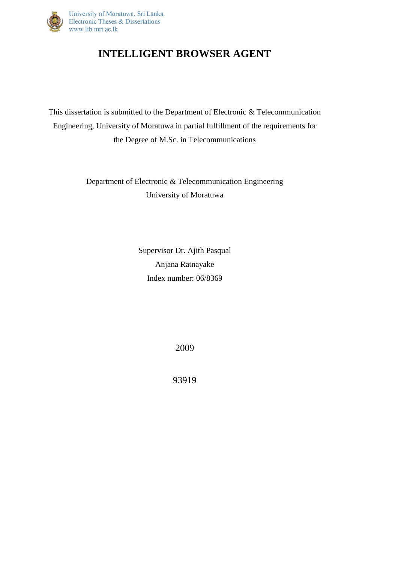

## **INTELLIGENT BROWSER AGENT**

This dissertation is submitted to the Department of Electronic & Telecommunication Engineering, University of Moratuwa in partial fulfillment of the requirements for the Degree of M.Sc. in Telecommunications

> Department of Electronic & Telecommunication Engineering University of Moratuwa

> > Supervisor Dr. Ajith Pasqual Anjana Ratnayake Index number: 06/8369

> > > 2009

93919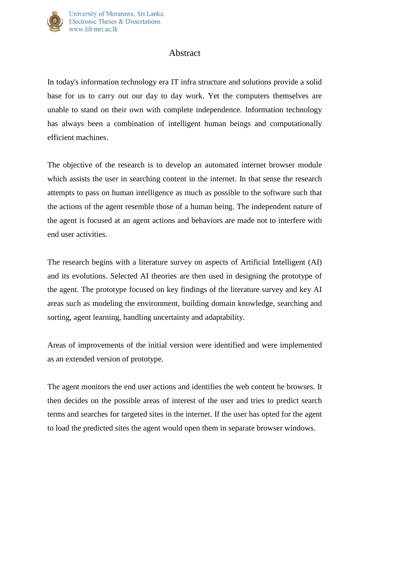

## Abstract

In today's information technology era IT infra structure and solutions provide a solid base for us to carry out our day to day work. Yet the computers themselves are unable to stand on their own with complete independence. Information technology has always been a combination of intelligent human beings and computationally efficient machines.

The objective of the research is to develop an automated internet browser module which assists the user in searching content in the internet. In that sense the research attempts to pass on human intelligence as much as possible to the software such that the actions of the agent resemble those of a human being. The independent nature of the agent is focused at an agent actions and behaviors are made not to interfere with end user activities.

The research begins with a literature survey on aspects of Artificial Intelligent (AI) and its evolutions. Selected AI theories are then used in designing the prototype of the agent. The prototype focused on key findings of the literature survey and key AI areas such as modeling the environment, building domain knowledge, searching and sorting, agent learning, handling uncertainty and adaptability.

Areas of improvements of the initial version were identified and were implemented as an extended version of prototype.

The agent monitors the end user actions and identifies the web content he browses. It then decides on the possible areas of interest of the user and tries to predict search terms and searches for targeted sites in the internet. If the user has opted for the agent to load the predicted sites the agent would open them in separate browser windows.